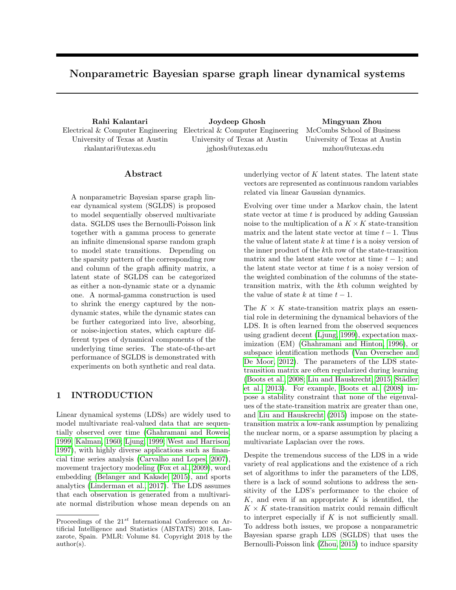# Nonparametric Bayesian sparse graph linear dynamical systems

Electrical & Computer Engineering Electrical & Computer Engineering University of Texas at Austin rkalantari@utexas.edu

Rahi Kalantari Joydeep Ghosh Mingyuan Zhou University of Texas at Austin jghosh@utexas.edu

McCombs School of Business University of Texas at Austin mzhou@utexas.edu

### Abstract

A nonparametric Bayesian sparse graph linear dynamical system (SGLDS) is proposed to model sequentially observed multivariate data. SGLDS uses the Bernoulli-Poisson link together with a gamma process to generate an infinite dimensional sparse random graph to model state transitions. Depending on the sparsity pattern of the corresponding row and column of the graph affinity matrix, a latent state of SGLDS can be categorized as either a non-dynamic state or a dynamic one. A normal-gamma construction is used to shrink the energy captured by the nondynamic states, while the dynamic states can be further categorized into live, absorbing, or noise-injection states, which capture different types of dynamical components of the underlying time series. The state-of-the-art performance of SGLDS is demonstrated with experiments on both synthetic and real data.

# 1 INTRODUCTION

Linear dynamical systems (LDSs) are widely used to model multivariate real-valued data that are sequentially observed over time [\(Ghahramani and Roweis,](#page-8-0) [1999;](#page-8-0) [Kalman, 1960;](#page-8-1) [Ljung, 1999;](#page-8-2) [West and Harrison,](#page-8-3) [1997\)](#page-8-3), with highly diverse applications such as financial time series analysis [\(Carvalho and Lopes, 2007\)](#page-8-4), movement trajectory modeling [\(Fox et al., 2009\)](#page-8-5), word embedding [\(Belanger and Kakade, 2015\)](#page-8-6), and sports analytics [\(Linderman et al., 2017\)](#page-8-7). The LDS assumes that each observation is generated from a multivariate normal distribution whose mean depends on an underlying vector of  $K$  latent states. The latent state vectors are represented as continuous random variables related via linear Gaussian dynamics.

Evolving over time under a Markov chain, the latent state vector at time  $t$  is produced by adding Gaussian noise to the multiplication of a  $K \times K$  state-transition matrix and the latent state vector at time  $t - 1$ . Thus the value of latent state  $k$  at time  $t$  is a noisy version of the inner product of the kth row of the state-transition matrix and the latent state vector at time  $t - 1$ ; and the latent state vector at time  $t$  is a noisy version of the weighted combination of the columns of the statetransition matrix, with the kth column weighted by the value of state k at time  $t - 1$ .

The  $K \times K$  state-transition matrix plays an essential role in determining the dynamical behaviors of the LDS. It is often learned from the observed sequences using gradient decent [\(Ljung, 1999\)](#page-8-2), expectation maximization (EM) [\(Ghahramani and Hinton, 1996\)](#page-8-8), or subspace identification methods [\(Van Overschee and](#page-8-9) [De Moor, 2012\)](#page-8-9). The parameters of the LDS statetransition matrix are often regularized during learning [\(Boots et al., 2008;](#page-8-10) [Liu and Hauskrecht, 2015;](#page-8-11) Städler [et al., 2013\)](#page-8-12). For example, [Boots et al. \(2008\)](#page-8-10) impose a stability constraint that none of the eigenvalues of the state-transition matrix are greater than one, and [Liu and Hauskrecht \(2015\)](#page-8-11) impose on the statetransition matrix a low-rank assumption by penalizing the nuclear norm, or a sparse assumption by placing a multivariate Laplacian over the rows.

Despite the tremendous success of the LDS in a wide variety of real applications and the existence of a rich set of algorithms to infer the parameters of the LDS, there is a lack of sound solutions to address the sensitivity of the LDS's performance to the choice of  $K$ , and even if an appropriate  $K$  is identified, the  $K \times K$  state-transition matrix could remain difficult to interpret especially if  $K$  is not sufficiently small. To address both issues, we propose a nonparametric Bayesian sparse graph LDS (SGLDS) that uses the Bernoulli-Poisson link [\(Zhou, 2015\)](#page-8-13) to induce sparsity

Proceedings of the  $21^{st}$  International Conference on Artificial Intelligence and Statistics (AISTATS) 2018, Lanzarote, Spain. PMLR: Volume 84. Copyright 2018 by the author(s).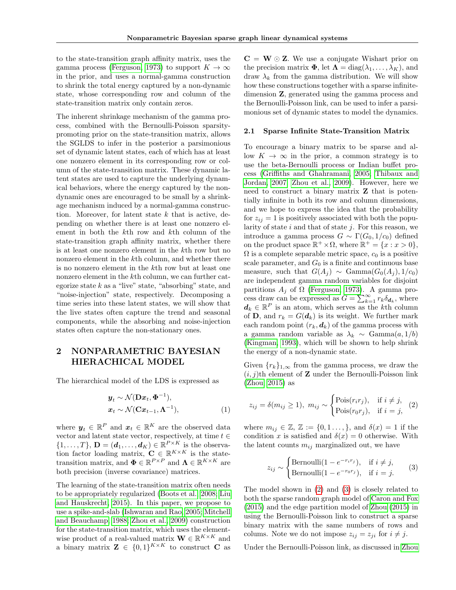to the state-transition graph affinity matrix, uses the gamma process [\(Ferguson, 1973\)](#page-8-14) to support  $K \to \infty$ in the prior, and uses a normal-gamma construction to shrink the total energy captured by a non-dynamic state, whose corresponding row and column of the state-transition matrix only contain zeros.

The inherent shrinkage mechanism of the gamma process, combined with the Bernoulli-Poisson sparsitypromoting prior on the state-transition matrix, allows the SGLDS to infer in the posterior a parsimonious set of dynamic latent states, each of which has at least one nonzero element in its corresponding row or column of the state-transition matrix. These dynamic latent states are used to capture the underlying dynamical behaviors, where the energy captured by the nondynamic ones are encouraged to be small by a shrinkage mechanism induced by a normal-gamma construction. Moreover, for latent state  $k$  that is active, depending on whether there is at least one nonzero element in both the kth row and kth column of the state-transition graph affinity matrix, whether there is at least one nonzero element in the kth row but no nonzero element in the kth column, and whether there is no nonzero element in the kth row but at least one nonzero element in the k<sup>th</sup> column, we can further categorize state  $k$  as a "live" state, "absorbing" state, and "noise-injection" state, respectively. Decomposing a time series into these latent states, we will show that the live states often capture the trend and seasonal components, while the absorbing and noise-injection states often capture the non-stationary ones.

# 2 NONPARAMETRIC BAYESIAN HIERACHICAL MODEL

The hierarchical model of the LDS is expressed as

$$
\begin{aligned} \mathbf{y}_t &\sim \mathcal{N}(\mathbf{D}\mathbf{x}_t, \mathbf{\Phi}^{-1}), \\ \mathbf{x}_t &\sim \mathcal{N}(\mathbf{C}\mathbf{x}_{t-1}, \mathbf{\Lambda}^{-1}), \end{aligned} \tag{1}
$$

where  $y_t \in \mathbb{R}^P$  and  $x_t \in \mathbb{R}^K$  are the observed data vector and latent state vector, respectively, at time  $t \in$  $\{1,\ldots,T\},\,\mathbf{D}=(\mathbf{d}_1,\ldots,\mathbf{d}_K)\in\mathbb{R}^{P\times K}$  is the observation factor loading matrix,  $\mathbf{C} \in \mathbb{R}^{K \times K}$  is the statetransition matrix, and  $\mathbf{\Phi} \in \mathbb{R}^{P \times P}$  and  $\mathbf{\Lambda} \in \mathbb{R}^{K \times K}$  are both precision (inverse covariance) matrices.

The learning of the state-transition matrix often needs to be appropriately regularized [\(Boots et al., 2008;](#page-8-10) [Liu](#page-8-11) [and Hauskrecht, 2015\)](#page-8-11). In this paper, we propose to use a spike-and-slab [\(Ishwaran and Rao, 2005;](#page-8-15) [Mitchell](#page-8-16) [and Beauchamp, 1988;](#page-8-16) [Zhou et al., 2009\)](#page-8-17) construction for the state-transition matrix, which uses the elementwise product of a real-valued matrix  $\mathbf{W} \in \mathbb{R}^{K \times K}$  and a binary matrix  $\mathbf{Z} \in \{0,1\}^{K \times K}$  to construct **C** as

 $C = W \odot Z$ . We use a conjugate Wishart prior on the precision matrix  $\Phi$ , let  $\Lambda = \text{diag}(\lambda_1, \ldots, \lambda_K)$ , and draw  $\lambda_k$  from the gamma distribution. We will show how these constructions together with a sparse infinitedimension Z, generated using the gamma process and the Bernoulli-Poisson link, can be used to infer a parsimonious set of dynamic states to model the dynamics.

### 2.1 Sparse Infinite State-Transition Matrix

To encourage a binary matrix to be sparse and allow  $K \to \infty$  in the prior, a common strategy is to use the beta-Bernoulli process or Indian buffet process [\(Griffiths and Ghahramani, 2005;](#page-8-18) [Thibaux and](#page-8-19) [Jordan, 2007;](#page-8-19) [Zhou et al., 2009\)](#page-8-17). However, here we need to construct a binary matrix  $Z$  that is potentially infinite in both its row and column dimensions, and we hope to express the idea that the probability for  $z_{ij} = 1$  is positively associated with both the popularity of state  $i$  and that of state  $j$ . For this reason, we introduce a gamma process  $G \sim \Gamma(G_0, 1/c_0)$  defined on the product space  $\mathbb{R}^+ \times \Omega$ , where  $\mathbb{R}^+ = \{x : x > 0\},\$  $\Omega$  is a complete separable metric space,  $c_0$  is a positive scale parameter, and  $G_0$  is a finite and continuous base measure, such that  $G(A_i) \sim \text{Gamma}(G_0(A_i), 1/c_0)$ are independent gamma random variables for disjoint partitions  $A_i$  of  $\Omega$  [\(Ferguson, 1973\)](#page-8-14). A gamma process draw can be expressed as  $G = \sum_{k=1}^{\infty} r_k \delta_{d_k}$ , where  $d_k \in \mathbb{R}^P$  is an atom, which serves as the k<sup>th</sup> column of **D**, and  $r_k = G(d_k)$  is its weight. We further mark each random point  $(r_k, d_k)$  of the gamma process with a gamma random variable as  $\lambda_k \sim \text{Gamma}(a, 1/b)$ [\(Kingman, 1993\)](#page-8-20), which will be shown to help shrink the energy of a non-dynamic state.

Given  $\{r_k\}_{1,\infty}$  from the gamma process, we draw the  $(i, j)$ th element of **Z** under the Bernoulli-Poisson link [\(Zhou, 2015\)](#page-8-13) as

$$
z_{ij} = \delta(m_{ij} \ge 1), \ m_{ij} \sim \begin{cases} \text{Pois}(r_i r_j), & \text{if } i \ne j, \\ \text{Pois}(r_0 r_j), & \text{if } i = j, \end{cases} \tag{2}
$$

where  $m_{ij} \in \mathbb{Z}, \mathbb{Z} := \{0, 1, \ldots, \}, \text{ and } \delta(x) = 1 \text{ if the }$ condition x is satisfied and  $\delta(x) = 0$  otherwise. With the latent counts  $m_{ij}$  marginalized out, we have

<span id="page-1-1"></span><span id="page-1-0"></span>
$$
z_{ij} \sim \begin{cases} \text{Bernoulli}(1 - e^{-r_i r_j}), & \text{if } i \neq j, \\ \text{Bernoulli}(1 - e^{-r_0 r_j}), & \text{if } i = j. \end{cases} \tag{3}
$$

The model shown in [\(2\)](#page-1-0) and [\(3\)](#page-1-1) is closely related to both the sparse random graph model of [Caron and Fox](#page-8-21) [\(2015\)](#page-8-21) and the edge partition model of [Zhou \(2015\)](#page-8-13) in using the Bernoulli-Poisson link to construct a sparse binary matrix with the same numbers of rows and colums. Note we do not impose  $z_{ij} = z_{ji}$  for  $i \neq j$ .

Under the Bernoulli-Poisson link, as discussed in [Zhou](#page-8-22)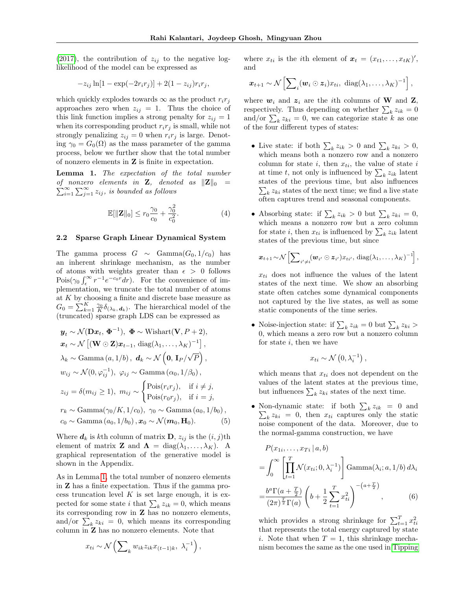[\(2017\)](#page-8-22), the contribution of  $z_{ij}$  to the negative loglikelihood of the model can be expressed as

$$
-z_{ij}\ln[1-\exp(-2r_ir_j)] + 2(1-z_{ij})r_ir_j,
$$

which quickly explodes towards  $\infty$  as the product  $r_i r_j$ approaches zero when  $z_{ij} = 1$ . Thus the choice of this link function implies a strong penalty for  $z_{ij} = 1$ when its corresponding product  $r_i r_j$  is small, while not strongly penalizing  $z_{ij} = 0$  when  $r_i r_j$  is large. Denoting  $\gamma_0 = G_0(\Omega)$  as the mass parameter of the gamma process, below we further show that the total number of nonzero elements in Z is finite in expectation.

<span id="page-2-0"></span>Lemma 1. The expectation of the total number  $\sum_{i=1}^{\infty}$ of nonzero elements in **Z**, denoted as  $||\mathbf{Z}||_0$  =  $\sum_{i=1}^{\infty}\sum_{j=1}^{\infty}z_{ij}$ , is bounded as follows

$$
\mathbb{E}[\|\mathbf{Z}\|_0] \le r_0 \frac{\gamma_0}{c_0} + \frac{\gamma_0^2}{c_0^2}.\tag{4}
$$

### <span id="page-2-3"></span>2.2 Sparse Graph Linear Dynamical System

The gamma process  $G \sim \text{Gamma}(G_0, 1/c_0)$  has an inherent shrinkage mechanism, as the number of atoms with weights greater than  $\epsilon > 0$  follows Pois $(\gamma_0 \int_{\epsilon}^{\infty} r^{-1} e^{-c_0 r} dr)$ . For the convenience of implementation, we truncate the total number of atoms at  $K$  by choosing a finite and discrete base measure as  $G_0 = \sum_{k=1}^K \frac{\gamma_0}{K} \widetilde{\delta}_{(\lambda_k, \mathbf{d}_k)}$ . The hierarchical model of the (truncated) sparse graph LDS can be expressed as

$$
\mathbf{y}_t \sim \mathcal{N}(\mathbf{D}\mathbf{x}_t, \mathbf{\Phi}^{-1}), \mathbf{\Phi} \sim \text{Wishart}(\mathbf{V}, P + 2),
$$
  
\n
$$
\mathbf{x}_t \sim \mathcal{N}\left[ (\mathbf{W} \odot \mathbf{Z}) \mathbf{x}_{t-1}, \text{diag}(\lambda_1, ..., \lambda_K)^{-1} \right],
$$
  
\n
$$
\lambda_k \sim \text{Gamma}(a, 1/b), \mathbf{d}_k \sim \mathcal{N}\left(\mathbf{0}, \mathbf{I}_P/\sqrt{P}\right),
$$
  
\n
$$
w_{ij} \sim \mathcal{N}(0, \varphi_{ij}^{-1}), \varphi_{ij} \sim \text{Gamma}(\alpha_0, 1/\beta_0),
$$
  
\n
$$
z_{ij} = \delta(m_{ij} \ge 1), m_{ij} \sim \begin{cases} \text{Pois}(r_i r_j), & \text{if } i \ne j, \\ \text{Pois}(r_0 r_j), & \text{if } i = j, \end{cases}
$$
  
\n
$$
r_k \sim \text{Gamma}(\gamma_0/K, 1/c_0), \gamma_0 \sim \text{Gamma}(a_0, 1/b_0),
$$
  
\n
$$
c_0 \sim \text{Gamma}(a_0, 1/b_0), \mathbf{x}_0 \sim \mathcal{N}(m_0, \mathbf{H}_0).
$$
 (5)

Where  $d_k$  is kth column of matrix **D**,  $z_{ij}$  is the  $(i, j)$ th element of matrix **Z** and  $\Lambda = \text{diag}(\lambda_1, \ldots, \lambda_K)$ . A graphical representation of the generative model is shown in the Appendix.

As in Lemma [1,](#page-2-0) the total number of nonzero elements in Z has a finite expectation. Thus if the gamma process truncation level  $K$  is set large enough, it is expected for some state *i* that  $\sum_k z_{ik} = 0$ , which means its corresponding row in  $\mathbf Z$  has no nonzero elements, and/or  $\sum_k z_{ki} = 0$ , which means its corresponding column in Z has no nonzero elements. Note that

$$
x_{ti} \sim \mathcal{N}\left(\sum\nolimits_k w_{ik} z_{ik} x_{(t-1)k}, \lambda_i^{-1}\right),\,
$$

where  $x_{ti}$  is the *i*th element of  $\mathbf{x}_t = (x_{t1}, \dots, x_{tK})'$ , and

$$
\boldsymbol{x}_{t+1} \sim \mathcal{N}\left[\sum\nolimits_i (\boldsymbol{w}_i \odot \boldsymbol{z}_i) \boldsymbol{x}_{ti}, \ \text{diag}(\lambda_1, \ldots, \lambda_K)^{-1}\right],
$$

where  $w_i$  and  $z_i$  are the *i*th columns of **W** and **Z**, respectively. Thus depending on whether  $\sum_k z_{ik} = 0$ and/or  $\sum_k z_{ki} = 0$ , we can categorize state k as one of the four different types of states:

- Live state: if both  $\sum_k z_{ik} > 0$  and  $\sum_k z_{ki} > 0$ , which means both a nonzero row and a nonzero column for state  $i$ , then  $x_{ti}$ , the value of state  $i$ at time t, not only is influenced by  $\sum_k z_{ik}$  latent states of the previous time, but also influences  $\sum_{k} z_{ki}$  states of the next time; we find a live state often captures trend and seasonal components.
- Absorbing state: if  $\sum_k z_{ik} > 0$  but  $\sum_k z_{ki} = 0$ , which means a nonzero row but a zero column for state *i*, then  $x_{ti}$  is influenced by  $\sum_k z_{ik}$  latent states of the previous time, but since

$$
\boldsymbol{x}_{t+1} \sim \mathcal{N}\left[\sum\nolimits_{i' \neq i} (\boldsymbol{w}_{i'} \odot \boldsymbol{z}_{i'}) x_{ti'}, \,\mathrm{diag}(\lambda_1, \ldots, \lambda_K)^{-1}\right],
$$

 $x_{ti}$  does not influence the values of the latent states of the next time. We show an absorbing state often catches some dynamical components not captured by the live states, as well as some static components of the time series.

• Noise-injection state: if  $\sum_k z_{ik} = 0$  but  $\sum_k z_{ki} >$ 0, which means a zero row but a nonzero column for state  $i$ , then we have

$$
x_{ti} \sim \mathcal{N}\left(0, \lambda_i^{-1}\right),
$$

which means that  $x_{ti}$  does not dependent on the values of the latent states at the previous time, but influences  $\sum_k z_{ki}$  states of the next time.

<span id="page-2-2"></span>• Non-dynamic state: if both  $\sum_k z_{ik} = 0$  and  $\sum_k z_{ki} = 0$ , then  $x_{ti}$  captures only the static noise component of the data. Moreover, due to the normal-gamma construction, we have

$$
P(x_{1i},...,x_{Ti}|a,b)
$$
  
= 
$$
\int_0^\infty \left[ \prod_{t=1}^T \mathcal{N}(x_{ti}; 0, \lambda_i^{-1}) \right] \text{Gamma}(\lambda_i; a, 1/b) d\lambda_i
$$
  
= 
$$
\frac{b^a \Gamma(a + \frac{T}{2})}{(2\pi)^{\frac{T}{2}} \Gamma(a)} \left( b + \frac{1}{2} \sum_{t=1}^T x_{ti}^2 \right)^{-(a + \frac{T}{2})},
$$
(6)

<span id="page-2-1"></span>which provides a strong shrinkage for  $\sum_{t=1}^{T} x_{ti}^2$ that represents the total energy captured by state i. Note that when  $T = 1$ , this shrinkage mechanism becomes the same as the one used in [Tipping](#page-8-23)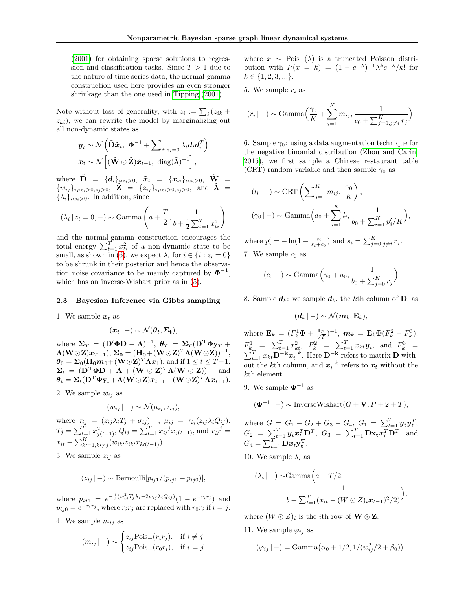[\(2001\)](#page-8-23) for obtaining sparse solutions to regression and classification tasks. Since  $T > 1$  due to the nature of time series data, the normal-gamma construction used here provides an even stronger shrinkage than the one used in [Tipping \(2001\)](#page-8-23).

Note without loss of generality, with  $z_i := \sum_k (z_{ik} +$  $z_{ki}$ ), we can rewrite the model by marginalizing out all non-dynamic states as

$$
\mathbf{y}_t \sim \mathcal{N}\left(\tilde{\mathbf{D}}\tilde{\mathbf{x}}_t, \ \mathbf{\Phi}^{-1} + \sum\nolimits_{i:\ z_i=0} \lambda_i \mathbf{d}_i \mathbf{d}_i^T\right)
$$

$$
\tilde{\mathbf{x}}_t \sim \mathcal{N}\left[ (\tilde{\mathbf{W}} \odot \tilde{\mathbf{Z}}) \tilde{\mathbf{x}}_{t-1}, \ \text{diag}(\tilde{\boldsymbol{\lambda}})^{-1} \right],
$$

where  $\mathbf{D} = \{d_i\}_{i:z_i>0}, \ \tilde{x}_t = \{x_{ti}\}_{i:z_i>0}, \ \mathbf{W} =$  $\{w_{ij}\}_{ij:z_i>0,z_j>0}, \ \tilde{\mathbf{Z}} = \{z_{ij}\}_{ij:z_i>0,z_j>0}, \text{ and } \tilde{\boldsymbol{\lambda}} =$  $\{\lambda_i\}_{i:z_i>0}$ . In addition, since

$$
(\lambda_i | z_i = 0, -) \sim \text{Gamma}\left(a + \frac{T}{2}, \frac{1}{b + \frac{1}{2}\sum_{t=1}^T x_{ti}^2}\right)
$$

and the normal-gamma construction encourages the total energy  $\sum_{t=1}^{T} x_{ti}^2$  of a non-dynamic state to be small, as shown in [\(6\)](#page-2-1), we expect  $\lambda_i$  for  $i \in \{i : z_i = 0\}$ to be shrunk in their posterior and hence the observation noise covariance to be mainly captured by  $\mathbf{\Phi}^{-1}$ , which has an inverse-Wishart prior as in [\(5\)](#page-2-2).

#### 2.3 Bayesian Inference via Gibbs sampling

1. We sample  $x_t$  as

$$
(\boldsymbol{x}_t | -) \sim \mathcal{N}(\boldsymbol{\theta}_t, \boldsymbol{\Sigma_t}),
$$

where  $\Sigma_T = (\mathbf{D}'\mathbf{\Phi}\mathbf{D} + \mathbf{\Lambda})^{-1}$ ,  $\boldsymbol{\theta}_T = \Sigma_T(\mathbf{D}^T\mathbf{\Phi}\mathbf{y}_T + \mathbf{\Lambda})^{-1}$  $\boldsymbol{\Lambda}(\mathbf{W}\!\odot\!\mathbf{Z})\boldsymbol{x}_{T-1}),\boldsymbol{\Sigma_0}=(\mathbf{H_0}\!+\!(\mathbf{W}\!\odot\!\mathbf{Z})^T\boldsymbol{\Lambda}(\mathbf{W}\!\odot\!\mathbf{Z}))^{-1},$  $\boldsymbol{\theta}_0 = \boldsymbol{\Sigma}_0 (\mathbf{H_0} m_0 + (\mathbf{W} \odot \mathbf{Z})^T \mathbf{\Lambda} \boldsymbol{x}_1), \text{ and if } 1 \leq t \leq T-1,$  $\Sigma_t = (\mathbf{D}^{\mathbf{T}} \mathbf{\Phi} \mathbf{D} + \mathbf{\Lambda} + (\mathbf{W} \odot \mathbf{Z})^T \mathbf{\Lambda} (\mathbf{W} \odot \mathbf{Z}))^{-1}$  and  $\boldsymbol{\theta}_t = \boldsymbol{\Sigma}_t(\mathbf{D^T} \boldsymbol{\Phi} \mathbf{y}_t + \boldsymbol{\Lambda}(\mathbf{W} \odot \mathbf{Z})\boldsymbol{x}_{t-1} + (\mathbf{W} \odot \mathbf{Z})^T \boldsymbol{\Lambda} \boldsymbol{x}_{t+1}).$ 

2. We sample  $w_{ij}$  as

$$
(w_{ij} | -) \sim \mathcal{N}(\mu_{ij}, \tau_{ij}),
$$

where  $\tau_{ij} = (z_{ij}\lambda_i T_j + \sigma_{ij})^{-1}$ ,  $\mu_{ij} = \tau_{ij}(z_{ij}\lambda_i Q_{ij})$ ,  $T_j = \sum_{t=1}^T x_{j(t-1)}^2$ ,  $Q_{ij} = \sum_{t=1}^T x_{it}^{-j} x_{j(t-1)}$ , and  $x_{it}^{-j} =$  $x_{it} - \sum_{k=1, k \neq j}^{K} (w_{ikl} z_{ikl} x_{k(l+1)}).$ 

3. We sample  $z_{ij}$  as

$$
(z_{ij} \mid -) \sim \text{Bernoulli}[p_{ij1}/(p_{ij1} + p_{ij0})],
$$

where  $p_{ij1} = e^{-\frac{1}{2}(w_{ij}^2 T_j \lambda_i - 2w_{ij} \lambda_i Q_{ij})} (1 - e^{-r_i r_j})$  and  $p_{ij0} = e^{-r_i r_j}$ , where  $r_i r_j$  are replaced with  $r_0 r_i$  if  $i = j$ . 4. We sample  $m_{ij}$  as

$$
(m_{ij} \mid -) \sim \begin{cases} z_{ij} \text{Pois}_{+}(r_i r_j), & \text{if } i \neq j \\ z_{ij} \text{Pois}_{+}(r_0 r_i), & \text{if } i = j \end{cases}
$$

where  $x \sim \text{Pois}_{+}(\lambda)$  is a truncated Poisson distribution with  $P(x = k) = (1 - e^{-\lambda})^{-1} \lambda^k e^{-\lambda}/k!$  for  $k \in \{1, 2, 3, ...\}$ .

5. We sample  $r_i$  as

$$
(r_i | -) \sim \text{Gamma}\left(\frac{\gamma_0}{K} + \sum_{j=1}^K m_{ij}, \frac{1}{c_0 + \sum_{j=0, j \neq i}^K r_j}\right).
$$

6. Sample  $\gamma_0$ : using a data augmentation technique for the negative binomial distribution [\(Zhou and Carin,](#page-8-24) [2015\)](#page-8-24), we first sample a Chinese restaurant table (CRT) random variable and then sample  $\gamma_0$  as

$$
(l_i | -) \sim \text{CRT}\left(\sum_{j=1}^K m_{ij}, \frac{\gamma_0}{K}\right),
$$

$$
(\gamma_0 | -) \sim \text{Gamma}\left(a_0 + \sum_{i=1}^K l_i, \frac{1}{b_0 + \sum_{i=1}^K p'_i/K}\right),
$$

where  $p'_{i} = -\ln(1 - \frac{s_{i}}{s_{i} + c_{0}})$  and  $s_{i} = \sum_{j=0, j\neq i}^{K} r_{j}$ .

7. We sample  $c_0$  as

$$
(c_0|-\right) \sim \text{Gamma}\left(\gamma_0 + a_0, \frac{1}{b_0 + \sum_{j=0}^K r_j}\right)
$$

8. Sample  $d_k$ : we sample  $d_k$ , the kth column of **D**, as

$$
(\boldsymbol{d}_k \,|\, -) \sim \mathcal{N}(\boldsymbol{m}_k,\mathbf{E}_k),
$$

where  $\mathbf{E}_k = (F_k^1 \mathbf{\Phi} + \frac{\mathbf{I}_P}{\sqrt{l}})$  $(\frac{p}{P})^{-1}, m_k = \mathbf{E}_k \mathbf{\Phi}(F_k^2 - F_k^3),$  $F_{k}^{1} = \sum_{t=1}^{T} x_{kt}^{2}, F_{k}^{2} = \sum_{t=1}^{T} x_{kt} y_{t},$  and  $F_{k}^{3} =$  $\sum_{t=1}^{T} x_{kt} \mathbf{D}^{-k} \mathbf{x}_{t}^{-k}$ . Here  $\mathbf{D}^{-k}$  refers to matrix  $\mathbf{D}$  without the *k*<sup>th</sup> column, and  $x_t^{-k}$  refers to  $x_t$  without the kth element.

- 9. We sample  $\Phi^{-1}$  as
	- $(\mathbf{\Phi}^{-1} \mid -) \sim$  InverseWishart $(G + \mathbf{V}, P + 2 + T),$

where  $G = G_1 - G_2 + G_3 - G_4$ ,  $G_1 = \sum_{t=1}^{T} y_t y_t^T$ ,  $G_2 = \sum_{t=1}^T \mathbf{y}_t \mathbf{x}_t^T \mathbf{D}^T$ ,  $G_3 = \sum_{t=1}^T \mathbf{D} \mathbf{x}_t \mathbf{x}_t^T \mathbf{D}^T$ , and  $G_4 = \sum_{t=1}^T \mathbf{D} x_t \mathbf{y_t^T}.$ 

10. We sample  $\lambda_i$  as

$$
(\lambda_i | -) \sim \text{Gamma}\left(a + T/2, \frac{1}{b + \sum_{t=1}^T (x_{it} - (W \odot Z)_i \mathbf{x}_{t-1})^2/2)}\right),
$$

where  $(W \odot Z)_i$  is the *i*th row of **W**  $\odot$  **Z**.

11. We sample  $\varphi_{ij}$  as

$$
(\varphi_{ij} | -) = \text{Gamma}(\alpha_0 + 1/2, 1/(w_{ij}^2/2 + \beta_0)).
$$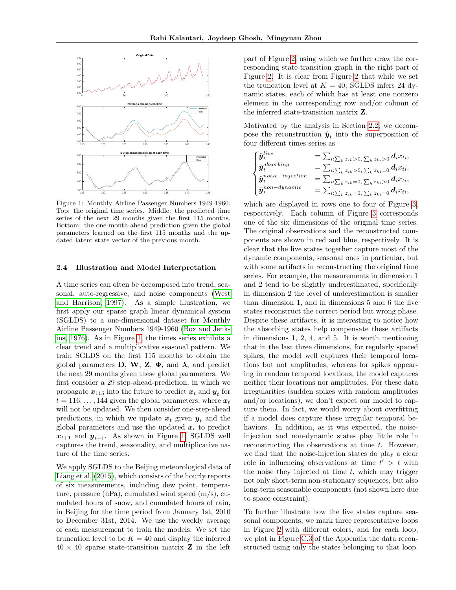<span id="page-4-0"></span>

Figure 1: Monthly Airline Passenger Numbers 1949-1960. Top: the original time series. Middle: the predicted time series of the next 29 months given the first 115 months. Bottom: the one-month-ahead prediction given the global parameters learned on the first 115 months and the updated latent state vector of the previous month.

### <span id="page-4-1"></span>2.4 Illustration and Model Interpretation

A time series can often be decomposed into trend, seasonal, auto-regressive, and noise components [\(West](#page-8-3) [and Harrison, 1997\)](#page-8-3). As a simple illustration, we first apply our sparse graph linear dynamical system (SGLDS) to a one-dimensional dataset for Monthly Airline Passenger Numbers 1949-1960 [\(Box and Jenk](#page-8-25)[ins, 1976\)](#page-8-25). As in Figure [1,](#page-4-0) the times series exhibits a clear trend and a multiplicative seasonal pattern. We train SGLDS on the first 115 months to obtain the global parameters D, W, Z,  $\Phi$ , and  $\lambda$ , and predict the next 29 months given these global parameters. We first consider a 29 step-ahead-prediction, in which we propagate  $x_{115}$  into the future to predict  $x_t$  and  $y_t$  for  $t = 116, \ldots, 144$  given the global parameters, where  $x_t$ will not be updated. We then consider one-step-ahead predictions, in which we update  $x_t$  given  $y_t$  and the global parameters and use the updated  $x_t$  to predict  $x_{t+1}$  and  $y_{t+1}$ . As shown in Figure [1,](#page-4-0) SGLDS well captures the trend, seasonality, and multiplicative nature of the time series.

We apply SGLDS to the Beijing meteorological data of [Liang et al. \(2015\)](#page-8-26), which consists of the hourly reports of six measurements, including dew point, temperature, pressure (hPa), cumulated wind speed  $(m/s)$ , cumulated hours of snow, and cumulated hours of rain, in Beijing for the time period from January 1st, 2010 to December 31st, 2014. We use the weekly average of each measurement to train the models. We set the truncation level to be  $K = 40$  and display the inferred  $40 \times 40$  sparse state-transition matrix **Z** in the left

part of Figure [2,](#page-5-0) using which we further draw the corresponding state-transition graph in the right part of Figure [2.](#page-5-0) It is clear from Figure [2](#page-5-0) that while we set the truncation level at  $K = 40$ , SGLDS infers 24 dynamic states, each of which has at least one nonzero element in the corresponding row and/or column of the inferred state-transition matrix Z.

Motivated by the analysis in Section [2.2,](#page-2-3) we decompose the reconstruction  $\hat{y}_t$  into the superposition of four different times series as

$$
\begin{cases}\n\hat{\mathbf{y}}_t^{live} = \sum_{i:\sum_k z_{ik} > 0, \sum_k z_{ki} > 0} d_i x_{ti}, \\
\hat{\mathbf{y}}_t^{absorbing} = \sum_{i:\sum_k z_{ik} > 0, \sum_k z_{ki} = 0} d_i x_{ti}, \\
\hat{\mathbf{y}}_t^{noise-injection} = \sum_{i:\sum_k z_{ik} = 0, \sum_k z_{ki} > 0} d_i x_{ti}, \\
\hat{\mathbf{y}}_t^{non-dynamic} = \sum_{i:\sum_k z_{ik} = 0, \sum_k z_{ki} = 0} d_i x_{ti},\n\end{cases}
$$

which are displayed in rows one to four of Figure [3,](#page-5-1) respectively. Each column of Figure [3](#page-5-1) corresponds one of the six dimensions of the original time series. The original observations and the reconstructed components are shown in red and blue, respectively. It is clear that the live states together capture most of the dynamic components, seasonal ones in particular, but with some artifacts in reconstructing the original time series. For example, the measurements in dimension 1 and 2 tend to be slightly underestimated, specifically in dimension 2 the level of underestimation is smaller than dimension 1, and in dimensions 5 and 6 the live states reconstruct the correct period but wrong phase. Despite these artifacts, it is interesting to notice how the absorbing states help compensate these artifacts in dimensions 1, 2, 4, and 5. It is worth mentioning that in the last three dimensions, for regularly spaced spikes, the model well captures their temporal locations but not amplitudes, whereas for spikes appearing in random temporal locations, the model captures neither their locations nor amplitudes. For these data irregularities (sudden spikes with random amplitudes and/or locations), we don't expect our model to capture them. In fact, we would worry about overfitting if a model does capture these irregular temporal behaviors. In addition, as it was expected, the noiseinjection and non-dynamic states play little role in reconstructing the observations at time  $t$ . However, we find that the noise-injection states do play a clear role in influencing observations at time  $t' > t$  with the noise they injected at time  $t$ , which may trigger not only short-term non-stationary sequences, but also long-term seasonable components (not shown here due to space constraint).

To further illustrate how the live states capture seasonal components, we mark three representative loops in Figure [2](#page-5-0) with different colors, and for each loop, we plot in Figure [C.3](#page--1-0) of the Appendix the data reconstructed using only the states belonging to that loop.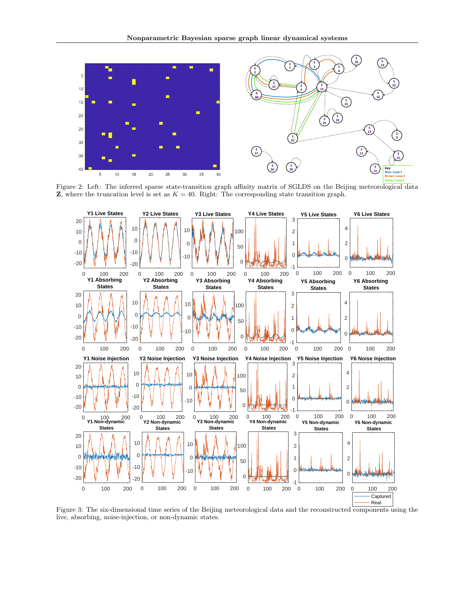<span id="page-5-0"></span>

Figure 2: Left: The inferred sparse state-transition graph affinity matrix of SGLDS on the Beijing meteorological data **Z**, where the truncation level is set as  $K = 40$ . Right: The corresponding state transition graph.

<span id="page-5-1"></span>

Figure 3: The six-dimensional time series of the Beijing meteorological data and the reconstructed components using the live, absorbing, noise-injection, or non-dynamic states.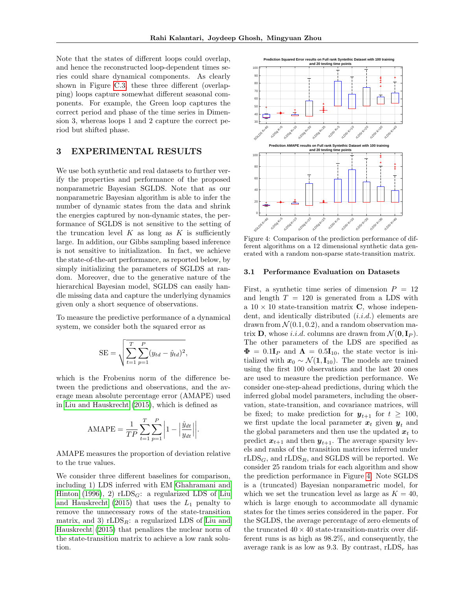Note that the states of different loops could overlap, and hence the reconstructed loop-dependent times series could share dynamical components. As clearly shown in Figure [C.3,](#page--1-0) these three different (overlapping) loops capture somewhat different seasonal components. For example, the Green loop captures the correct period and phase of the time series in Dimension 3, whereas loops 1 and 2 capture the correct period but shifted phase.

### 3 EXPERIMENTAL RESULTS

We use both synthetic and real datasets to further verify the properties and performance of the proposed nonparametric Bayesian SGLDS. Note that as our nonparametric Bayesian algorithm is able to infer the number of dynamic states from the data and shrink the energies captured by non-dynamic states, the performance of SGLDS is not sensitive to the setting of the truncation level  $K$  as long as  $K$  is sufficiently large. In addition, our Gibbs sampling based inference is not sensitive to initialization. In fact, we achieve the state-of-the-art performance, as reported below, by simply initializing the parameters of SGLDS at random. Moreover, due to the generative nature of the hierarchical Bayesian model, SGLDS can easily handle missing data and capture the underlying dynamics given only a short sequence of observations.

To measure the predictive performance of a dynamical system, we consider both the squared error as

SE = 
$$
\sqrt{\sum_{t=1}^{T} \sum_{p=1}^{P} (y_{td} - \hat{y}_{td})^2},
$$

which is the Frobenius norm of the difference between the predictions and observations, and the average mean absolute percentage error (AMAPE) used in [Liu and Hauskrecht \(2015\)](#page-8-11), which is defined as

AMAPE = 
$$
\frac{1}{TP} \sum_{t=1}^{T} \sum_{p=1}^{P} \left| 1 - \left| \frac{\hat{y}_{dt}}{y_{dt}} \right| \right|
$$
.

AMAPE measures the proportion of deviation relative to the true values.

We consider three different baselines for comparison, including 1) LDS inferred with EM [Ghahramani and](#page-8-8) [Hinton \(1996\)](#page-8-8), 2)  $rLDS<sub>G</sub>$ : a regularized LDS of [Liu](#page-8-11) [and Hauskrecht \(2015\)](#page-8-11) that uses the  $L_1$  penalty to remove the unnecessary rows of the state-transition matrix, and 3)  $rLDS_R$ : a regularized LDS of [Liu and](#page-8-11) [Hauskrecht \(2015\)](#page-8-11) that penalizes the nuclear norm of the state-transition matrix to achieve a low rank solution.

<span id="page-6-0"></span>

Figure 4: Comparison of the prediction performance of different algorithms on a 12 dimensional synthetic data generated with a random non-sparse state-transition matrix.

### 3.1 Performance Evaluation on Datasets

First, a synthetic time series of dimension  $P = 12$ and length  $T = 120$  is generated from a LDS with a  $10 \times 10$  state-transition matrix C, whose independent, and identically distributed  $(i.i.d.)$  elements are drawn from  $\mathcal{N}(0.1, 0.2)$ , and a random observation matrix **D**, whose *i.i.d.* columns are drawn from  $\mathcal{N}(\mathbf{0}, \mathbf{I}_P)$ . The other parameters of the LDS are specified as  $\Phi = 0.1$ I<sub>P</sub> and  $\Lambda = 0.5$ I<sub>10</sub>, the state vector is initialized with  $x_0 \sim \mathcal{N}(1, I_{10})$ . The models are trained using the first 100 observations and the last 20 ones are used to measure the prediction performance. We consider one-step-ahead predictions, during which the inferred global model parameters, including the observation, state-transition, and covariance matrices, will be fixed; to make prediction for  $y_{t+1}$  for  $t \geq 100$ , we first update the local parameter  $x_t$  given  $y_t$  and the global parameters and then use the updated  $x_t$  to predict  $x_{t+1}$  and then  $y_{t+1}$ . The average sparsity levels and ranks of the transition matrices inferred under  $rLDS<sub>G</sub>$ , and  $rLDS<sub>R</sub>$ , and SGLDS will be reported. We consider 25 random trials for each algorithm and show the prediction performance in Figure [4.](#page-6-0) Note SGLDS is a (truncated) Bayesian nonparametric model, for which we set the truncation level as large as  $K = 40$ , which is large enough to accommodate all dynamic states for the times series considered in the paper. For the SGLDS, the average percentage of zero elements of the truncated  $40 \times 40$  state-transition-matrix over different runs is as high as 98.2%, and consequently, the average rank is as low as 9.3. By contrast,  $rLDS_r$  has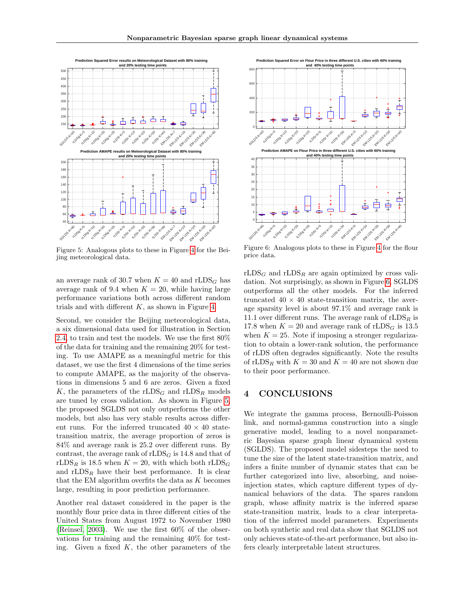<span id="page-7-0"></span>

Figure 5: Analogous plots to these in Figure [4](#page-6-0) for the Beijing meteorological data.

an average rank of 30.7 when  $K = 40$  and rLDS<sub>G</sub> has average rank of 9.4 when  $K = 20$ , while having large performance variations both across different random trials and with different  $K$ , as shown in Figure [4.](#page-6-0)

Second, we consider the Beijing meteorological data, a six dimensional data used for illustration in Section [2.4,](#page-4-1) to train and test the models. We use the first 80% of the data for training and the remaining 20% for testing. To use AMAPE as a meaningful metric for this dataset, we use the first 4 dimensions of the time series to compute AMAPE, as the majority of the observations in dimensions 5 and 6 are zeros. Given a fixed K, the parameters of the  $rLDS<sub>G</sub>$  and  $rLDS<sub>R</sub>$  models are tuned by cross validation. As shown in Figure [5,](#page-7-0) the proposed SGLDS not only outperforms the other models, but also has very stable results across different runs. For the inferred truncated  $40 \times 40$  statetransition matrix, the average proportion of zeros is 84% and average rank is 25.2 over different runs. By contrast, the average rank of  $rLDS<sub>G</sub>$  is 14.8 and that of  $rLDS_R$  is 18.5 when  $K = 20$ , with which both  $rLDS_G$ and  $rLDS_R$  have their best performance. It is clear that the EM algorithm overfits the data as  $K$  becomes large, resulting in poor prediction performance.

Another real dataset considered in the paper is the monthly flour price data in three different cities of the United States from August 1972 to November 1980 [\(Reinsel, 2003\)](#page-8-27). We use the first 60% of the observations for training and the remaining 40% for testing. Given a fixed  $K$ , the other parameters of the

<span id="page-7-1"></span>

Figure 6: Analogous plots to these in Figure [4](#page-6-0) for the flour price data.

 $rLDS<sub>G</sub>$  and  $rLDS<sub>R</sub>$  are again optimized by cross validation. Not surprisingly, as shown in Figure [6,](#page-7-1) SGLDS outperforms all the other models. For the inferred truncated  $40 \times 40$  state-transition matrix, the average sparsity level is about 97.1% and average rank is 11.1 over different runs. The average rank of  $rLDS<sub>R</sub>$  is 17.8 when  $K = 20$  and average rank of rLDS<sub>G</sub> is 13.5 when  $K = 25$ . Note if imposing a stronger regularization to obtain a lower-rank solution, the performance of rLDS often degrades significantly. Note the results of rLDS<sub>R</sub> with  $K = 30$  and  $K = 40$  are not shown due to their poor performance.

# 4 CONCLUSIONS

We integrate the gamma process, Bernoulli-Poisson link, and normal-gamma construction into a single generative model, leading to a novel nonparametric Bayesian sparse graph linear dynamical system (SGLDS). The proposed model sidesteps the need to tune the size of the latent state-transition matrix, and infers a finite number of dynamic states that can be further categorized into live, absorbing, and noiseinjection states, which capture different types of dynamical behaviors of the data. The spares random graph, whose affinity matrix is the inferred sparse state-transition matrix, leads to a clear interpretation of the inferred model parameters. Experiments on both synthetic and real data show that SGLDS not only achieves state-of-the-art performance, but also infers clearly interpretable latent structures.

**Prediction Squared Error on Flour Price in three different U.S. cities with 60% train**